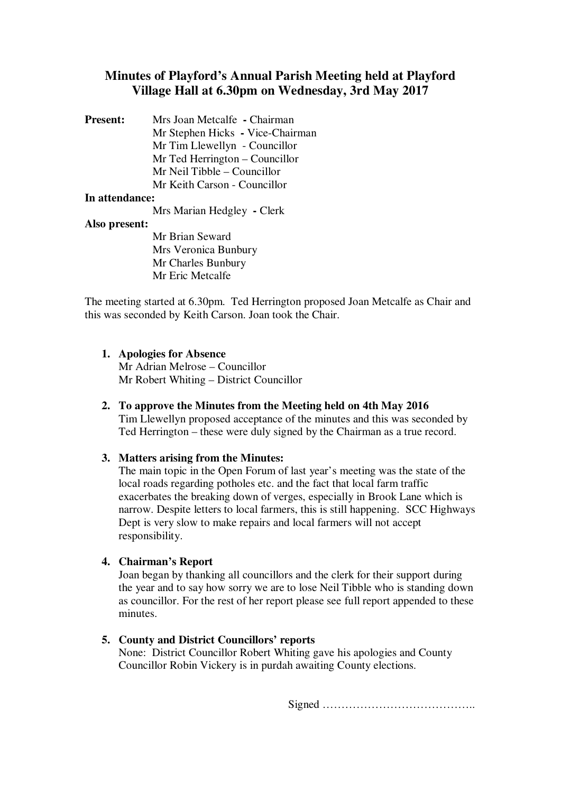# **Minutes of Playford's Annual Parish Meeting held at Playford Village Hall at 6.30pm on Wednesday, 3rd May 2017**

**Present:** Mrs Joan Metcalfe **-** Chairman Mr Stephen Hicks **-** Vice-Chairman Mr Tim Llewellyn - Councillor Mr Ted Herrington – Councillor Mr Neil Tibble – Councillor Mr Keith Carson - Councillor

## **In attendance:**

Mrs Marian Hedgley **-** Clerk

#### **Also present:**

Mr Brian Seward Mrs Veronica Bunbury Mr Charles Bunbury Mr Eric Metcalfe

The meeting started at 6.30pm. Ted Herrington proposed Joan Metcalfe as Chair and this was seconded by Keith Carson. Joan took the Chair.

## **1. Apologies for Absence**

Mr Adrian Melrose – Councillor Mr Robert Whiting – District Councillor

## **2. To approve the Minutes from the Meeting held on 4th May 2016**

Tim Llewellyn proposed acceptance of the minutes and this was seconded by Ted Herrington – these were duly signed by the Chairman as a true record.

## **3. Matters arising from the Minutes:**

The main topic in the Open Forum of last year's meeting was the state of the local roads regarding potholes etc. and the fact that local farm traffic exacerbates the breaking down of verges, especially in Brook Lane which is narrow. Despite letters to local farmers, this is still happening. SCC Highways Dept is very slow to make repairs and local farmers will not accept responsibility.

## **4. Chairman's Report**

Joan began by thanking all councillors and the clerk for their support during the year and to say how sorry we are to lose Neil Tibble who is standing down as councillor. For the rest of her report please see full report appended to these minutes.

**5. County and District Councillors' reports** 

None: District Councillor Robert Whiting gave his apologies and County Councillor Robin Vickery is in purdah awaiting County elections.

Signed …………………………………..